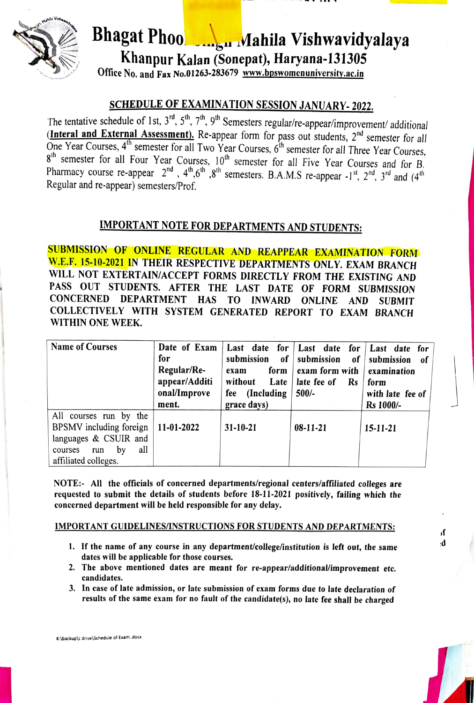

# Bhagat Phoo Mahila Vishwavidyalaya Khanpur Kalan (Sonepat), Haryana-131305<br>Office No. and Fax No.01263-283679 www.bpswomenuniversity.ac.in

**SCHEDULE OF EXAMINATION SESSION JANUARY- 2022.**<br>The tentative schedule of 1st,  $3^{rd}$ ,  $5^{th}$ ,  $7^{th}$ ,  $9^{th}$  Semesters regular/re-appear/improvement/ additional **The tentative schedule of Islemantial Assessment).** Re-appear form for pass out students,  $2^{nd}$  semester for all One Year Courses,  $4^{th}$  semester for all Two Year Courses,  $6^{th}$  semester for all Three Year Courses,  $8<sup>th</sup>$  semester for all Four Year Courses,  $10<sup>th</sup>$  semester for all Five Year Courses and for B.<br>Pharmacy course re-appear  $2<sup>nd</sup>$ ,  $4<sup>th</sup>$ ,  $6<sup>th</sup>$ ,  $8<sup>th</sup>$  semesters. B.A.M.S re-appear -1<sup>st</sup>,  $2<sup>nd</sup>$ Regular and re-appear) semesters/Prof.

## IMPORTANT NOTE FOR DEPARTMENTS AND STUDENTS:

SUBMISSION OF ONLINE REGULAR AND REAPPEAR EXAMINATION FORM W.E.F. 15-10-2021 IN THEIR RESPECTIVE DEPARTMENTS ONLY. EXAM BRANCH WILL NOT EXTERTAIN/ACCEPT FORMS DIRECTLY FROM THE EXISTING AND PASS OUT STUDENTS. AFTER THE LAST DATE OF FORM SUBMISSION CONCERNED DEPARTMENT HAS T0 INWARD ONLINE AND SUBMIT COLLECTIVELY WITH SYSTEM GENERATED REPORT To EXAM BRANCH WITHIN ONE WEEK.

| <b>Name of Courses</b>                                                                                                               | Date of Exam<br>for<br>Regular/Re-<br>appear/Additi<br>onal/Improve<br>ment. | submission<br>of<br>form<br>exam<br>without<br>Late<br>(Including)<br>fee<br>grace days) | Last date for   Last date for  <br>submission<br>of<br>exam form with<br>late fee of<br><b>Rs</b><br>$500/-$ | Last date for<br>submission<br>- of<br>examination<br>form<br>with late fee of<br><b>Rs</b> 1000/- |
|--------------------------------------------------------------------------------------------------------------------------------------|------------------------------------------------------------------------------|------------------------------------------------------------------------------------------|--------------------------------------------------------------------------------------------------------------|----------------------------------------------------------------------------------------------------|
| All<br>courses run by the<br>BPSMV including foreign<br>languages & CSUIR and<br>all<br>by<br>courses<br>run<br>affiliated colleges. | 11-01-2022                                                                   | $31 - 10 - 21$                                                                           | $08-11-21$                                                                                                   | $15 - 11 - 21$                                                                                     |

NOTE: All the officials of concerned departments/regional centers/affiliated colleges are requested to submit the details of students before 18-11-2021 positively, failing which the concerned department will be held responsible for any delay.

#### IMPORTANT GUIDELINES/INSTRUCTIONS FOR STUDENTS AND DEPARTMENTS:

- 1. If the name of any course in any department/college/institution is left out, the same  $\mathbf{d}$ dates will be applicable for those courses.
- 2. The above mentioned dates are meant for re-appear/additional/improvement etc. candidates.
- 3. In case of late admission, or late submission of exam forms due to late declaration of results of the same exam for no fault of the candidate(s), no late fee shall be charged

١ſ